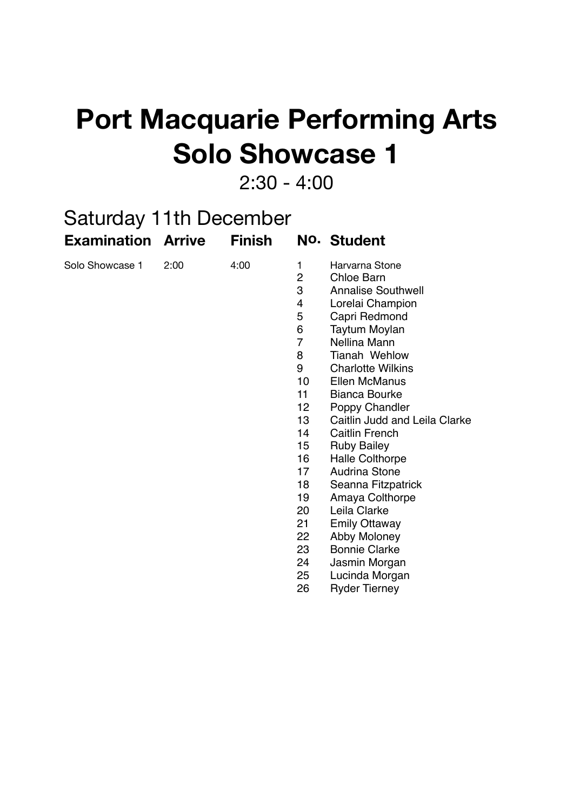## **Port Macquarie Performing Arts Solo Showcase 1**

2:30 - 4:00

| <b>Saturday 11th December</b> |      |               |                                                                                                                                                                                        |                                                                                                                                                                                                                                                                                                                                                                                                                                                                                                                                                                             |  |  |  |  |
|-------------------------------|------|---------------|----------------------------------------------------------------------------------------------------------------------------------------------------------------------------------------|-----------------------------------------------------------------------------------------------------------------------------------------------------------------------------------------------------------------------------------------------------------------------------------------------------------------------------------------------------------------------------------------------------------------------------------------------------------------------------------------------------------------------------------------------------------------------------|--|--|--|--|
| <b>Examination Arrive</b>     |      | <b>Finish</b> |                                                                                                                                                                                        | No. Student                                                                                                                                                                                                                                                                                                                                                                                                                                                                                                                                                                 |  |  |  |  |
| Solo Showcase 1               | 2:00 | 4:00          | 1<br>$\overline{2}$<br>3<br>4<br>5<br>6<br>7<br>8<br>9<br>10 <sup>1</sup><br>11<br>12 <sub>2</sub><br>13<br>14<br>15<br>16<br>17<br>18<br>19<br>20<br>21<br>22<br>23<br>24<br>25<br>26 | Harvarna Stone<br>Chloe Barn<br><b>Annalise Southwell</b><br>Lorelai Champion<br>Capri Redmond<br><b>Taytum Moylan</b><br>Nellina Mann<br><b>Tianah Wehlow</b><br><b>Charlotte Wilkins</b><br><b>Ellen McManus</b><br><b>Bianca Bourke</b><br>Poppy Chandler<br>Caitlin Judd and Leila Clarke<br>Caitlin French<br><b>Ruby Bailey</b><br><b>Halle Colthorpe</b><br><b>Audrina Stone</b><br>Seanna Fitzpatrick<br>Amaya Colthorpe<br>Leila Clarke<br><b>Emily Ottaway</b><br>Abby Moloney<br><b>Bonnie Clarke</b><br>Jasmin Morgan<br>Lucinda Morgan<br><b>Ryder Tierney</b> |  |  |  |  |